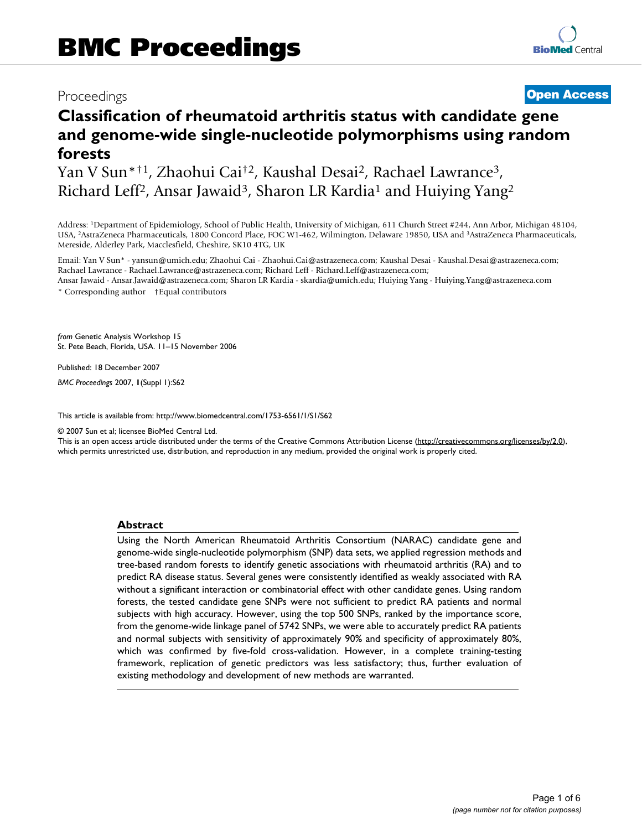# Proceedings **[Open Access](http://www.biomedcentral.com/info/about/charter/)**

# **Classification of rheumatoid arthritis status with candidate gene and genome-wide single-nucleotide polymorphisms using random forests**

Yan V Sun\*†1, Zhaohui Cai†2, Kaushal Desai2, Rachael Lawrance3, Richard Leff<sup>2</sup>, Ansar Jawaid<sup>3</sup>, Sharon LR Kardia<sup>1</sup> and Huiying Yang<sup>2</sup>

Address: 1Department of Epidemiology, School of Public Health, University of Michigan, 611 Church Street #244, Ann Arbor, Michigan 48104, USA, 2AstraZeneca Pharmaceuticals, 1800 Concord Place, FOC W1-462, Wilmington, Delaware 19850, USA and 3AstraZeneca Pharmaceuticals, Mereside, Alderley Park, Macclesfield, Cheshire, SK10 4TG, UK

Email: Yan V Sun\* - yansun@umich.edu; Zhaohui Cai - Zhaohui.Cai@astrazeneca.com; Kaushal Desai - Kaushal.Desai@astrazeneca.com; Rachael Lawrance - Rachael.Lawrance@astrazeneca.com; Richard Leff - Richard.Leff@astrazeneca.com; Ansar Jawaid - Ansar.Jawaid@astrazeneca.com; Sharon LR Kardia - skardia@umich.edu; Huiying Yang - Huiying.Yang@astrazeneca.com

\* Corresponding author †Equal contributors

*from* Genetic Analysis Workshop 15 St. Pete Beach, Florida, USA. 11–15 November 2006

Published: 18 December 2007

*BMC Proceedings* 2007, **1**(Suppl 1):S62

[This article is available from: http://www.biomedcentral.com/1753-6561/1/S1/S62](http://www.biomedcentral.com/1753-6561/1/S1/S62)

© 2007 Sun et al; licensee BioMed Central Ltd.

This is an open access article distributed under the terms of the Creative Commons Attribution License [\(http://creativecommons.org/licenses/by/2.0\)](http://creativecommons.org/licenses/by/2.0), which permits unrestricted use, distribution, and reproduction in any medium, provided the original work is properly cited.

#### **Abstract**

Using the North American Rheumatoid Arthritis Consortium (NARAC) candidate gene and genome-wide single-nucleotide polymorphism (SNP) data sets, we applied regression methods and tree-based random forests to identify genetic associations with rheumatoid arthritis (RA) and to predict RA disease status. Several genes were consistently identified as weakly associated with RA without a significant interaction or combinatorial effect with other candidate genes. Using random forests, the tested candidate gene SNPs were not sufficient to predict RA patients and normal subjects with high accuracy. However, using the top 500 SNPs, ranked by the importance score, from the genome-wide linkage panel of 5742 SNPs, we were able to accurately predict RA patients and normal subjects with sensitivity of approximately 90% and specificity of approximately 80%, which was confirmed by five-fold cross-validation. However, in a complete training-testing framework, replication of genetic predictors was less satisfactory; thus, further evaluation of existing methodology and development of new methods are warranted.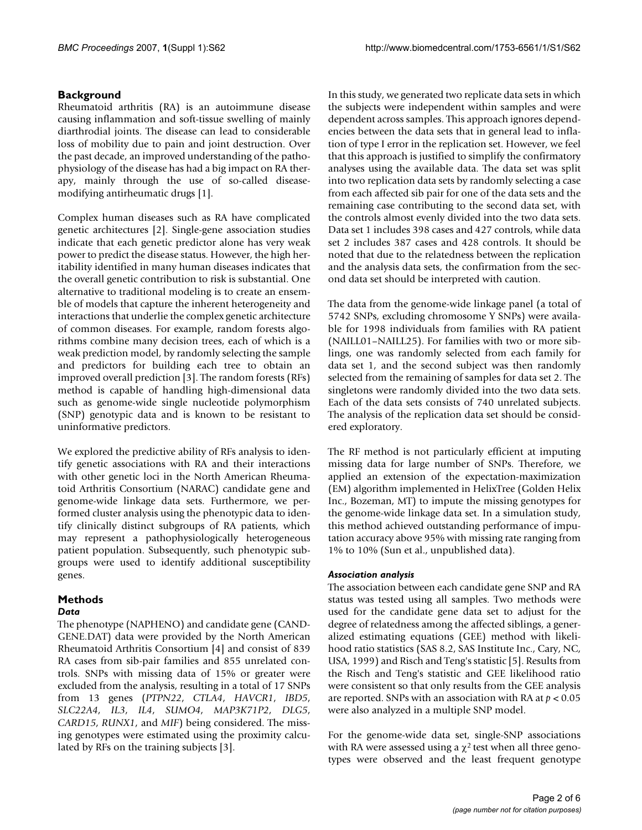### **Background**

Rheumatoid arthritis (RA) is an autoimmune disease causing inflammation and soft-tissue swelling of mainly diarthrodial joints. The disease can lead to considerable loss of mobility due to pain and joint destruction. Over the past decade, an improved understanding of the pathophysiology of the disease has had a big impact on RA therapy, mainly through the use of so-called diseasemodifying antirheumatic drugs [1].

Complex human diseases such as RA have complicated genetic architectures [2]. Single-gene association studies indicate that each genetic predictor alone has very weak power to predict the disease status. However, the high heritability identified in many human diseases indicates that the overall genetic contribution to risk is substantial. One alternative to traditional modeling is to create an ensemble of models that capture the inherent heterogeneity and interactions that underlie the complex genetic architecture of common diseases. For example, random forests algorithms combine many decision trees, each of which is a weak prediction model, by randomly selecting the sample and predictors for building each tree to obtain an improved overall prediction [3]. The random forests (RFs) method is capable of handling high-dimensional data such as genome-wide single nucleotide polymorphism (SNP) genotypic data and is known to be resistant to uninformative predictors.

We explored the predictive ability of RFs analysis to identify genetic associations with RA and their interactions with other genetic loci in the North American Rheumatoid Arthritis Consortium (NARAC) candidate gene and genome-wide linkage data sets. Furthermore, we performed cluster analysis using the phenotypic data to identify clinically distinct subgroups of RA patients, which may represent a pathophysiologically heterogeneous patient population. Subsequently, such phenotypic subgroups were used to identify additional susceptibility genes.

# **Methods**

# *Data*

The phenotype (NAPHENO) and candidate gene (CAND-GENE.DAT) data were provided by the North American Rheumatoid Arthritis Consortium [4] and consist of 839 RA cases from sib-pair families and 855 unrelated controls. SNPs with missing data of 15% or greater were excluded from the analysis, resulting in a total of 17 SNPs from 13 genes (*PTPN22*, *CTLA4*, *HAVCR1*, *IBD5*, *SLC22A4*, *IL3*, *IL4*, *SUMO4*, *MAP3K71P2*, *DLG5*, *CARD15*, *RUNX1*, and *MIF*) being considered. The missing genotypes were estimated using the proximity calculated by RFs on the training subjects [3].

In this study, we generated two replicate data sets in which the subjects were independent within samples and were dependent across samples. This approach ignores dependencies between the data sets that in general lead to inflation of type I error in the replication set. However, we feel that this approach is justified to simplify the confirmatory analyses using the available data. The data set was split into two replication data sets by randomly selecting a case from each affected sib pair for one of the data sets and the remaining case contributing to the second data set, with the controls almost evenly divided into the two data sets. Data set 1 includes 398 cases and 427 controls, while data set 2 includes 387 cases and 428 controls. It should be noted that due to the relatedness between the replication and the analysis data sets, the confirmation from the second data set should be interpreted with caution.

The data from the genome-wide linkage panel (a total of 5742 SNPs, excluding chromosome Y SNPs) were available for 1998 individuals from families with RA patient (NAILL01–NAILL25). For families with two or more siblings, one was randomly selected from each family for data set 1, and the second subject was then randomly selected from the remaining of samples for data set 2. The singletons were randomly divided into the two data sets. Each of the data sets consists of 740 unrelated subjects. The analysis of the replication data set should be considered exploratory.

The RF method is not particularly efficient at imputing missing data for large number of SNPs. Therefore, we applied an extension of the expectation-maximization (EM) algorithm implemented in HelixTree (Golden Helix Inc., Bozeman, MT) to impute the missing genotypes for the genome-wide linkage data set. In a simulation study, this method achieved outstanding performance of imputation accuracy above 95% with missing rate ranging from 1% to 10% (Sun et al., unpublished data).

#### *Association analysis*

The association between each candidate gene SNP and RA status was tested using all samples. Two methods were used for the candidate gene data set to adjust for the degree of relatedness among the affected siblings, a generalized estimating equations (GEE) method with likelihood ratio statistics (SAS 8.2, SAS Institute Inc., Cary, NC, USA, 1999) and Risch and Teng's statistic [5]. Results from the Risch and Teng's statistic and GEE likelihood ratio were consistent so that only results from the GEE analysis are reported. SNPs with an association with RA at *p* < 0.05 were also analyzed in a multiple SNP model.

For the genome-wide data set, single-SNP associations with RA were assessed using a  $\chi^2$  test when all three genotypes were observed and the least frequent genotype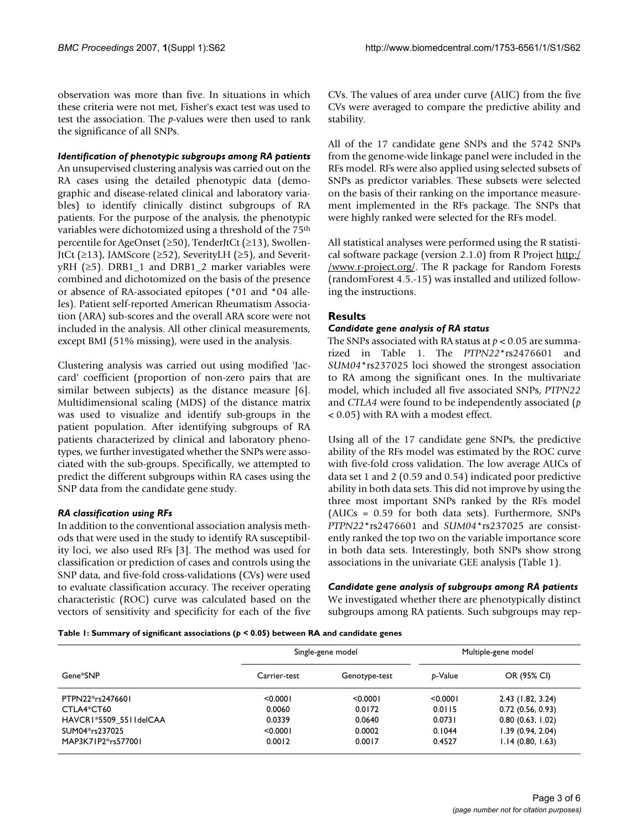observation was more than five. In situations in which these criteria were not met, Fisher's exact test was used to test the association. The *p*-values were then used to rank the significance of all SNPs.

#### *Identification of phenotypic subgroups among RA patients*

An unsupervised clustering analysis was carried out on the RA cases using the detailed phenotypic data (demographic and disease-related clinical and laboratory variables) to identify clinically distinct subgroups of RA patients. For the purpose of the analysis, the phenotypic variables were dichotomized using a threshold of the 75<sup>th</sup> percentile for AgeOnset (≥50), TenderJtCt (≥13), Swollen-JtCt (≥13), JAMScore (≥52), SeverityLH (≥5), and Severit $yRH$  (≥5). DRB1\_1 and DRB1\_2 marker variables were combined and dichotomized on the basis of the presence or absence of RA-associated epitopes (\*01 and \*04 alleles). Patient self-reported American Rheumatism Association (ARA) sub-scores and the overall ARA score were not included in the analysis. All other clinical measurements, except BMI (51% missing), were used in the analysis.

Clustering analysis was carried out using modified 'Jaccard' coefficient (proportion of non-zero pairs that are similar between subjects) as the distance measure [6]. Multidimensional scaling (MDS) of the distance matrix was used to visualize and identify sub-groups in the patient population. After identifying subgroups of RA patients characterized by clinical and laboratory phenotypes, we further investigated whether the SNPs were associated with the sub-groups. Specifically, we attempted to predict the different subgroups within RA cases using the SNP data from the candidate gene study.

#### *RA classification using RFs*

In addition to the conventional association analysis methods that were used in the study to identify RA susceptibility loci, we also used RFs [3]. The method was used for classification or prediction of cases and controls using the SNP data, and five-fold cross-validations (CVs) were used to evaluate classification accuracy. The receiver operating characteristic (ROC) curve was calculated based on the vectors of sensitivity and specificity for each of the five CVs. The values of area under curve (AUC) from the five CVs were averaged to compare the predictive ability and stability.

All of the 17 candidate gene SNPs and the 5742 SNPs from the genome-wide linkage panel were included in the RFs model. RFs were also applied using selected subsets of SNPs as predictor variables. These subsets were selected on the basis of their ranking on the importance measurement implemented in the RFs package. The SNPs that were highly ranked were selected for the RFs model.

All statistical analyses were performed using the R statistical software package (version 2.1.0) from R Project [http:/](http://www.r-project.org/) [/www.r-project.org/](http://www.r-project.org/). The R package for Random Forests (randomForest 4.5.-15) was installed and utilized following the instructions.

# **Results**

#### *Candidate gene analysis of RA status*

The SNPs associated with RA status at *p* < 0.05 are summarized in Table 1. The *PTPN22*\*rs2476601 and *SUM04*\*rs237025 loci showed the strongest association to RA among the significant ones. In the multivariate model, which included all five associated SNPs, *PTPN22* and *CTLA4* were found to be independently associated (*p* < 0.05) with RA with a modest effect.

Using all of the 17 candidate gene SNPs, the predictive ability of the RFs model was estimated by the ROC curve with five-fold cross validation. The low average AUCs of data set 1 and 2 (0.59 and 0.54) indicated poor predictive ability in both data sets. This did not improve by using the three most important SNPs ranked by the RFs model (AUCs = 0.59 for both data sets). Furthermore, SNPs *PTPN22*\*rs2476601 and *SUM04*\*rs237025 are consistently ranked the top two on the variable importance score in both data sets. Interestingly, both SNPs show strong associations in the univariate GEE analysis (Table 1).

*Candidate gene analysis of subgroups among RA patients* We investigated whether there are phenotypically distinct subgroups among RA patients. Such subgroups may rep-

#### **Table 1: Summary of significant associations (***p* **< 0.05) between RA and candidate genes**

| Gene*SNP               | Single-gene model |               | Multiple-gene model |                   |
|------------------------|-------------------|---------------|---------------------|-------------------|
|                        | Carrier-test      | Genotype-test | b-Value             | OR (95% CI)       |
| PTPN22*rs2476601       | < 0.0001          | < 0.0001      | < 0.0001            | 2.43 (1.82, 3.24) |
| CTLA4*CT60             | 0.0060            | 0.0172        | 0.0115              | 0.72(0.56, 0.93)  |
| HAVCR1*5509 5511delCAA | 0.0339            | 0.0640        | 0.0731              | 0.80(0.63, 1.02)  |
| SUM04*rs237025         | < 0.0001          | 0.0002        | 0.1044              | 1.39(0.94, 2.04)  |
| MAP3K71P2*rs577001     | 0.0012            | 0.0017        | 0.4527              | 1.14(0.80, 1.63)  |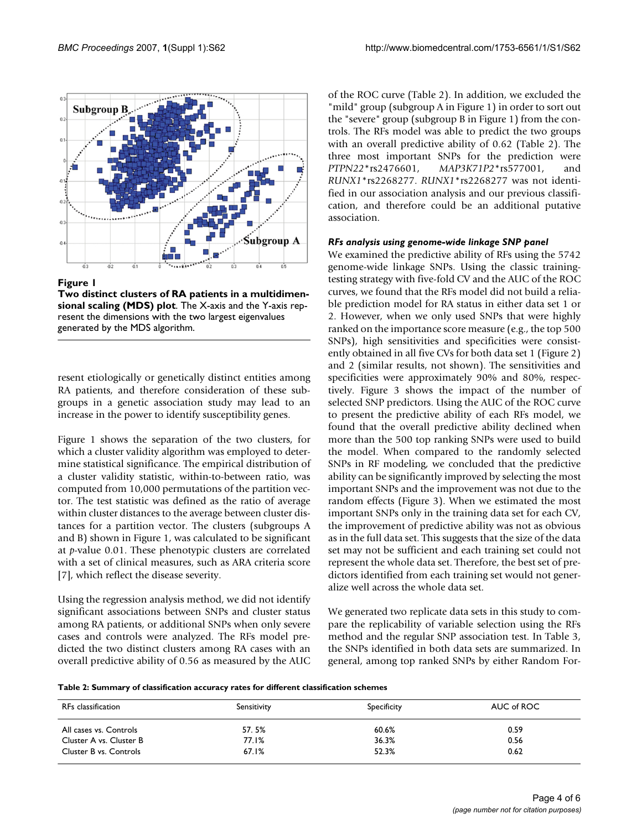

Figure 1

**Two distinct clusters of RA patients in a multidimensional scaling (MDS) plot**. The X-axis and the Y-axis represent the dimensions with the two largest eigenvalues generated by the MDS algorithm.

resent etiologically or genetically distinct entities among RA patients, and therefore consideration of these subgroups in a genetic association study may lead to an increase in the power to identify susceptibility genes.

Figure 1 shows the separation of the two clusters, for which a cluster validity algorithm was employed to determine statistical significance. The empirical distribution of a cluster validity statistic, within-to-between ratio, was computed from 10,000 permutations of the partition vector. The test statistic was defined as the ratio of average within cluster distances to the average between cluster distances for a partition vector. The clusters (subgroups A and B) shown in Figure 1, was calculated to be significant at *p*-value 0.01. These phenotypic clusters are correlated with a set of clinical measures, such as ARA criteria score [7], which reflect the disease severity.

Using the regression analysis method, we did not identify significant associations between SNPs and cluster status among RA patients, or additional SNPs when only severe cases and controls were analyzed. The RFs model predicted the two distinct clusters among RA cases with an overall predictive ability of 0.56 as measured by the AUC of the ROC curve (Table 2). In addition, we excluded the "mild" group (subgroup A in Figure 1) in order to sort out the "severe" group (subgroup B in Figure 1) from the controls. The RFs model was able to predict the two groups with an overall predictive ability of 0.62 (Table 2). The three most important SNPs for the prediction were *PTPN22*\*rs2476601, *MAP3K71P2*\*rs577001, and *RUNX1*\*rs2268277. *RUNX1*\*rs2268277 was not identified in our association analysis and our previous classification, and therefore could be an additional putative association.

#### *RFs analysis using genome-wide linkage SNP panel*

We examined the predictive ability of RFs using the 5742 genome-wide linkage SNPs. Using the classic trainingtesting strategy with five-fold CV and the AUC of the ROC curves, we found that the RFs model did not build a reliable prediction model for RA status in either data set 1 or 2. However, when we only used SNPs that were highly ranked on the importance score measure (e.g., the top 500 SNPs), high sensitivities and specificities were consistently obtained in all five CVs for both data set 1 (Figure 2) and 2 (similar results, not shown). The sensitivities and specificities were approximately 90% and 80%, respectively. Figure 3 shows the impact of the number of selected SNP predictors. Using the AUC of the ROC curve to present the predictive ability of each RFs model, we found that the overall predictive ability declined when more than the 500 top ranking SNPs were used to build the model. When compared to the randomly selected SNPs in RF modeling, we concluded that the predictive ability can be significantly improved by selecting the most important SNPs and the improvement was not due to the random effects (Figure 3). When we estimated the most important SNPs only in the training data set for each CV, the improvement of predictive ability was not as obvious as in the full data set. This suggests that the size of the data set may not be sufficient and each training set could not represent the whole data set. Therefore, the best set of predictors identified from each training set would not generalize well across the whole data set.

We generated two replicate data sets in this study to compare the replicability of variable selection using the RFs method and the regular SNP association test. In Table 3, the SNPs identified in both data sets are summarized. In general, among top ranked SNPs by either Random For-

**Table 2: Summary of classification accuracy rates for different classification schemes**

| RFs classification      | Sensitivity | Specificity | AUC of ROC |
|-------------------------|-------------|-------------|------------|
| All cases vs. Controls  | 57.5%       | 60.6%       | 0.59       |
| Cluster A vs. Cluster B | 77.1%       | 36.3%       | 0.56       |
| Cluster B vs. Controls  | 67.1%       | 52.3%       | 0.62       |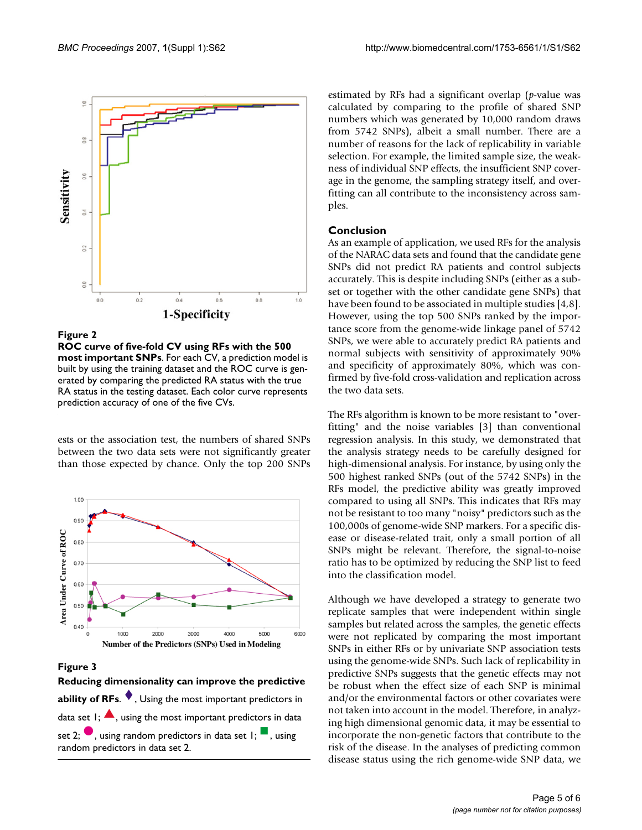

#### **Figure 2**

**ROC curve of five-fold CV using RFs with the 500 most important SNPs**. For each CV, a prediction model is built by using the training dataset and the ROC curve is generated by comparing the predicted RA status with the true RA status in the testing dataset. Each color curve represents prediction accuracy of one of the five CVs.

ests or the association test, the numbers of shared SNPs between the two data sets were not significantly greater than those expected by chance. Only the top 200 SNPs



**Figure 3** 

**Reducing dimensionality can improve the predictive ability of RFs.**  $\blacklozenge$  , Using the most important predictors in data set  $I$ ;  $\blacktriangle$ , using the most important predictors in data set 2;  $\bullet$  , using random predictors in data set 1;  $\blacksquare$  , using random predictors in data set 2.

estimated by RFs had a significant overlap (*p*-value was calculated by comparing to the profile of shared SNP numbers which was generated by 10,000 random draws from 5742 SNPs), albeit a small number. There are a number of reasons for the lack of replicability in variable selection. For example, the limited sample size, the weakness of individual SNP effects, the insufficient SNP coverage in the genome, the sampling strategy itself, and overfitting can all contribute to the inconsistency across samples.

# **Conclusion**

As an example of application, we used RFs for the analysis of the NARAC data sets and found that the candidate gene SNPs did not predict RA patients and control subjects accurately. This is despite including SNPs (either as a subset or together with the other candidate gene SNPs) that have been found to be associated in multiple studies [4,8]. However, using the top 500 SNPs ranked by the importance score from the genome-wide linkage panel of 5742 SNPs, we were able to accurately predict RA patients and normal subjects with sensitivity of approximately 90% and specificity of approximately 80%, which was confirmed by five-fold cross-validation and replication across the two data sets.

The RFs algorithm is known to be more resistant to "overfitting" and the noise variables [3] than conventional regression analysis. In this study, we demonstrated that the analysis strategy needs to be carefully designed for high-dimensional analysis. For instance, by using only the 500 highest ranked SNPs (out of the 5742 SNPs) in the RFs model, the predictive ability was greatly improved compared to using all SNPs. This indicates that RFs may not be resistant to too many "noisy" predictors such as the 100,000s of genome-wide SNP markers. For a specific disease or disease-related trait, only a small portion of all SNPs might be relevant. Therefore, the signal-to-noise ratio has to be optimized by reducing the SNP list to feed into the classification model.

Although we have developed a strategy to generate two replicate samples that were independent within single samples but related across the samples, the genetic effects were not replicated by comparing the most important SNPs in either RFs or by univariate SNP association tests using the genome-wide SNPs. Such lack of replicability in predictive SNPs suggests that the genetic effects may not be robust when the effect size of each SNP is minimal and/or the environmental factors or other covariates were not taken into account in the model. Therefore, in analyzing high dimensional genomic data, it may be essential to incorporate the non-genetic factors that contribute to the risk of the disease. In the analyses of predicting common disease status using the rich genome-wide SNP data, we